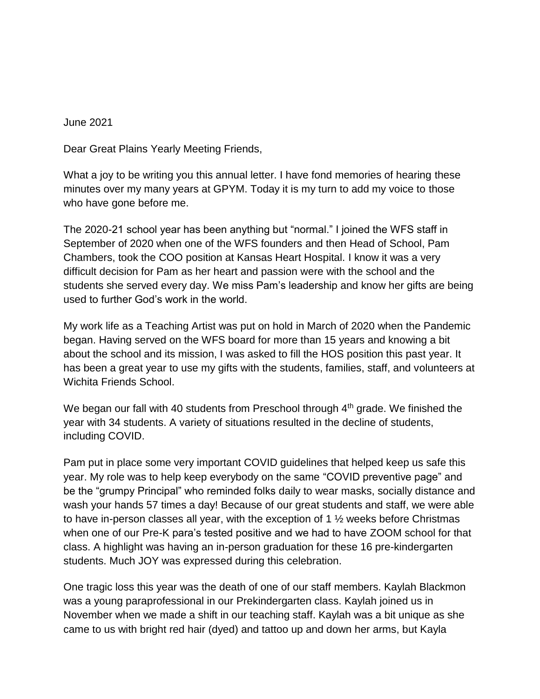June 2021

Dear Great Plains Yearly Meeting Friends,

What a joy to be writing you this annual letter. I have fond memories of hearing these minutes over my many years at GPYM. Today it is my turn to add my voice to those who have gone before me.

The 2020-21 school year has been anything but "normal." I joined the WFS staff in September of 2020 when one of the WFS founders and then Head of School, Pam Chambers, took the COO position at Kansas Heart Hospital. I know it was a very difficult decision for Pam as her heart and passion were with the school and the students she served every day. We miss Pam's leadership and know her gifts are being used to further God's work in the world.

My work life as a Teaching Artist was put on hold in March of 2020 when the Pandemic began. Having served on the WFS board for more than 15 years and knowing a bit about the school and its mission, I was asked to fill the HOS position this past year. It has been a great year to use my gifts with the students, families, staff, and volunteers at Wichita Friends School.

We began our fall with 40 students from Preschool through  $4<sup>th</sup>$  grade. We finished the year with 34 students. A variety of situations resulted in the decline of students, including COVID.

Pam put in place some very important COVID guidelines that helped keep us safe this year. My role was to help keep everybody on the same "COVID preventive page" and be the "grumpy Principal" who reminded folks daily to wear masks, socially distance and wash your hands 57 times a day! Because of our great students and staff, we were able to have in-person classes all year, with the exception of 1 ½ weeks before Christmas when one of our Pre-K para's tested positive and we had to have ZOOM school for that class. A highlight was having an in-person graduation for these 16 pre-kindergarten students. Much JOY was expressed during this celebration.

One tragic loss this year was the death of one of our staff members. Kaylah Blackmon was a young paraprofessional in our Prekindergarten class. Kaylah joined us in November when we made a shift in our teaching staff. Kaylah was a bit unique as she came to us with bright red hair (dyed) and tattoo up and down her arms, but Kayla